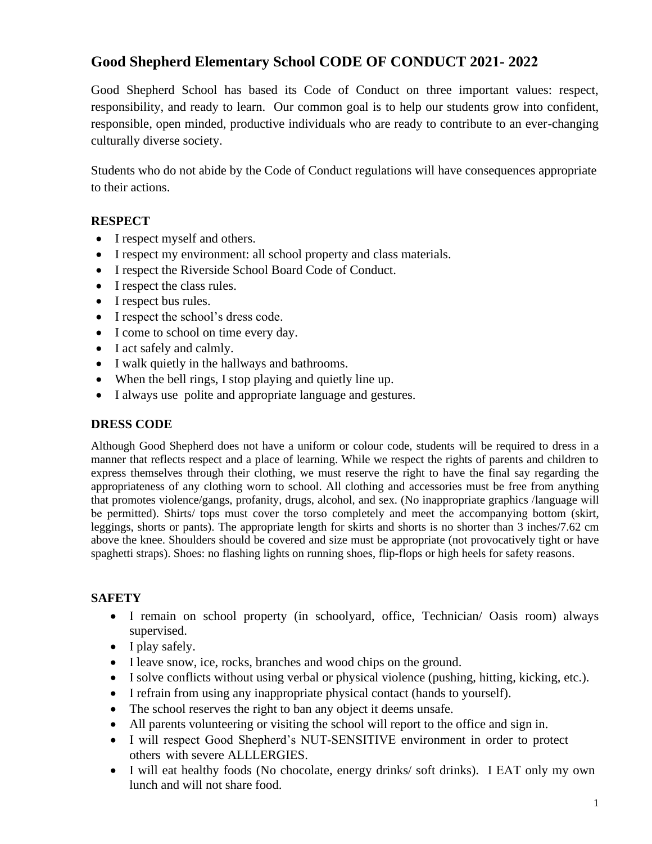# **Good Shepherd Elementary School CODE OF CONDUCT 2021- 2022**

Good Shepherd School has based its Code of Conduct on three important values: respect, responsibility, and ready to learn. Our common goal is to help our students grow into confident, responsible, open minded, productive individuals who are ready to contribute to an ever-changing culturally diverse society.

Students who do not abide by the Code of Conduct regulations will have consequences appropriate to their actions.

## **RESPECT**

- I respect myself and others.
- I respect my environment: all school property and class materials.
- I respect the Riverside School Board Code of Conduct.
- I respect the class rules.
- I respect bus rules.
- I respect the school's dress code.
- I come to school on time every day.
- I act safely and calmly.
- I walk quietly in the hallways and bathrooms.
- When the bell rings, I stop playing and quietly line up.
- I always use polite and appropriate language and gestures.

### **DRESS CODE**

Although Good Shepherd does not have a uniform or colour code, students will be required to dress in a manner that reflects respect and a place of learning. While we respect the rights of parents and children to express themselves through their clothing, we must reserve the right to have the final say regarding the appropriateness of any clothing worn to school. All clothing and accessories must be free from anything that promotes violence/gangs, profanity, drugs, alcohol, and sex. (No inappropriate graphics /language will be permitted). Shirts/ tops must cover the torso completely and meet the accompanying bottom (skirt, leggings, shorts or pants). The appropriate length for skirts and shorts is no shorter than 3 inches/7.62 cm above the knee. Shoulders should be covered and size must be appropriate (not provocatively tight or have spaghetti straps). Shoes: no flashing lights on running shoes, flip-flops or high heels for safety reasons.

## **SAFETY**

- I remain on school property (in schoolyard, office, Technician/ Oasis room) always supervised.
- I play safely.
- I leave snow, ice, rocks, branches and wood chips on the ground.
- I solve conflicts without using verbal or physical violence (pushing, hitting, kicking, etc.).
- I refrain from using any inappropriate physical contact (hands to yourself).
- The school reserves the right to ban any object it deems unsafe.
- All parents volunteering or visiting the school will report to the office and sign in.
- I will respect Good Shepherd's NUT-SENSITIVE environment in order to protect others with severe ALLLERGIES.
- I will eat healthy foods (No chocolate, energy drinks/ soft drinks). I EAT only my own lunch and will not share food.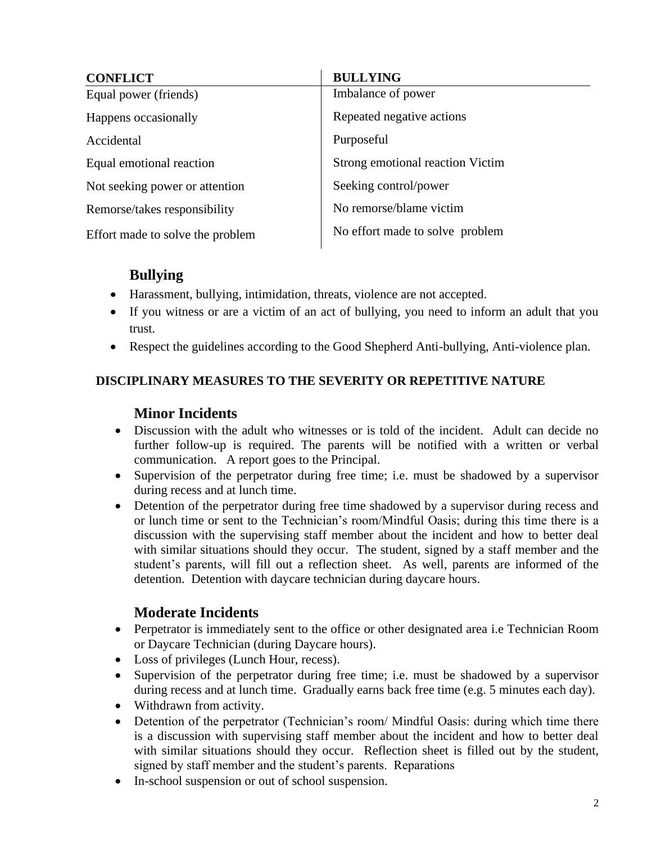| <b>CONFLICT</b>                  | <b>BULLYING</b>                  |
|----------------------------------|----------------------------------|
| Equal power (friends)            | Imbalance of power               |
| Happens occasionally             | Repeated negative actions        |
| Accidental                       | Purposeful                       |
| Equal emotional reaction         | Strong emotional reaction Victim |
| Not seeking power or attention   | Seeking control/power            |
| Remorse/takes responsibility     | No remorse/blame victim          |
| Effort made to solve the problem | No effort made to solve problem  |

# **Bullying**

- Harassment, bullying, intimidation, threats, violence are not accepted.
- If you witness or are a victim of an act of bullying, you need to inform an adult that you trust.
- Respect the guidelines according to the Good Shepherd Anti-bullying, Anti-violence plan.

## **DISCIPLINARY MEASURES TO THE SEVERITY OR REPETITIVE NATURE**

## **Minor Incidents**

- Discussion with the adult who witnesses or is told of the incident. Adult can decide no further follow-up is required. The parents will be notified with a written or verbal communication. A report goes to the Principal.
- Supervision of the perpetrator during free time; i.e. must be shadowed by a supervisor during recess and at lunch time.
- Detention of the perpetrator during free time shadowed by a supervisor during recess and or lunch time or sent to the Technician's room/Mindful Oasis; during this time there is a discussion with the supervising staff member about the incident and how to better deal with similar situations should they occur. The student, signed by a staff member and the student's parents, will fill out a reflection sheet. As well, parents are informed of the detention. Detention with daycare technician during daycare hours.

## **Moderate Incidents**

- Perpetrator is immediately sent to the office or other designated area i.e Technician Room or Daycare Technician (during Daycare hours).
- Loss of privileges (Lunch Hour, recess).
- Supervision of the perpetrator during free time; i.e. must be shadowed by a supervisor during recess and at lunch time. Gradually earns back free time (e.g. 5 minutes each day).
- Withdrawn from activity.
- Detention of the perpetrator (Technician's room/ Mindful Oasis: during which time there is a discussion with supervising staff member about the incident and how to better deal with similar situations should they occur. Reflection sheet is filled out by the student, signed by staff member and the student's parents. Reparations
- In-school suspension or out of school suspension.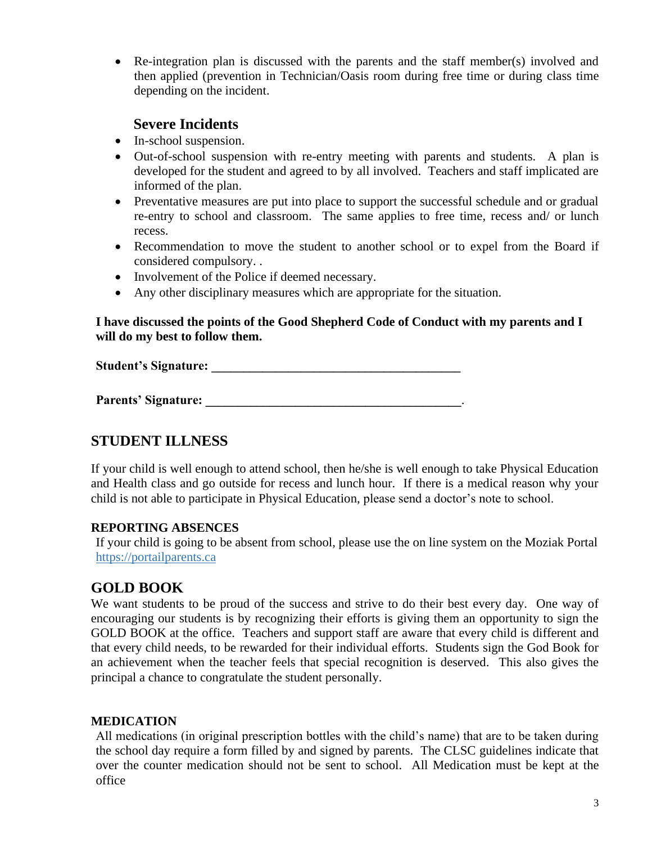• Re-integration plan is discussed with the parents and the staff member(s) involved and then applied (prevention in Technician/Oasis room during free time or during class time depending on the incident.

## **Severe Incidents**

- In-school suspension.
- Out-of-school suspension with re-entry meeting with parents and students. A plan is developed for the student and agreed to by all involved. Teachers and staff implicated are informed of the plan.
- Preventative measures are put into place to support the successful schedule and or gradual re-entry to school and classroom. The same applies to free time, recess and/ or lunch recess.
- Recommendation to move the student to another school or to expel from the Board if considered compulsory. .
- Involvement of the Police if deemed necessary.
- Any other disciplinary measures which are appropriate for the situation.

### **I have discussed the points of the Good Shepherd Code of Conduct with my parents and I will do my best to follow them.**

Student's Signature:

**Parents' Signature:**  $\blacksquare$ 

# **STUDENT ILLNESS**

If your child is well enough to attend school, then he/she is well enough to take Physical Education and Health class and go outside for recess and lunch hour. If there is a medical reason why your child is not able to participate in Physical Education, please send a doctor's note to school.

## **REPORTING ABSENCES**

If your child is going to be absent from school, please use the on line system on the Moziak Portal [https://portailparents.ca](https://portailparents.ca/)

# **GOLD BOOK**

We want students to be proud of the success and strive to do their best every day. One way of encouraging our students is by recognizing their efforts is giving them an opportunity to sign the GOLD BOOK at the office. Teachers and support staff are aware that every child is different and that every child needs, to be rewarded for their individual efforts. Students sign the God Book for an achievement when the teacher feels that special recognition is deserved. This also gives the principal a chance to congratulate the student personally.

#### **MEDICATION**

All medications (in original prescription bottles with the child's name) that are to be taken during the school day require a form filled by and signed by parents. The CLSC guidelines indicate that over the counter medication should not be sent to school. All Medication must be kept at the office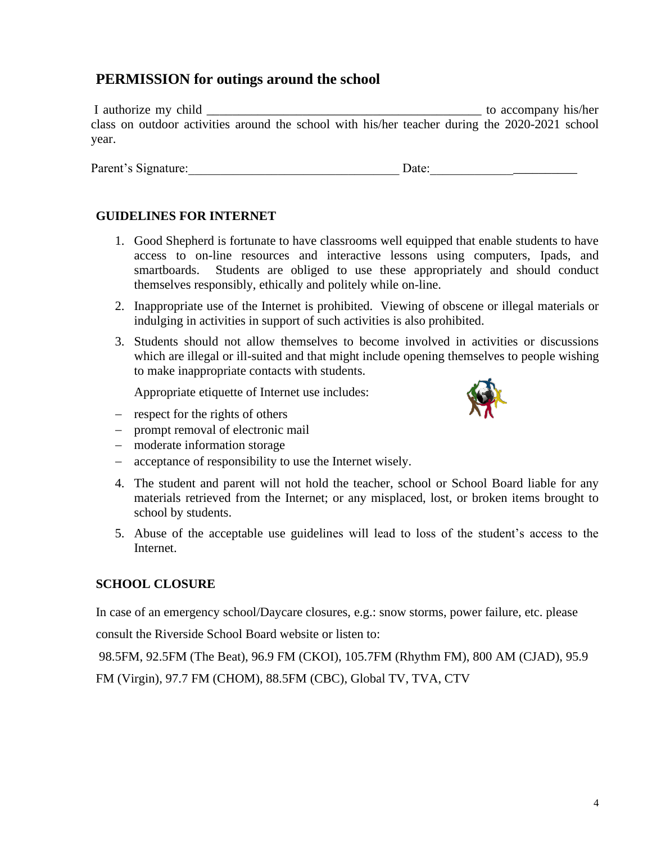# **PERMISSION for outings around the school**

I authorize my child  $\blacksquare$ class on outdoor activities around the school with his/her teacher during the 2020-2021 school year.

Parent's Signature:\_\_\_\_\_\_\_\_\_\_\_\_\_\_\_\_\_\_\_\_\_\_\_\_\_\_\_\_\_\_\_\_\_ Date:\_\_\_\_\_\_\_\_\_\_\_\_\_\_\_\_\_\_\_\_\_\_\_

### **GUIDELINES FOR INTERNET**

- 1. Good Shepherd is fortunate to have classrooms well equipped that enable students to have access to on-line resources and interactive lessons using computers, Ipads, and smartboards. Students are obliged to use these appropriately and should conduct themselves responsibly, ethically and politely while on-line.
- 2. Inappropriate use of the Internet is prohibited. Viewing of obscene or illegal materials or indulging in activities in support of such activities is also prohibited.
- 3. Students should not allow themselves to become involved in activities or discussions which are illegal or ill-suited and that might include opening themselves to people wishing to make inappropriate contacts with students.

Appropriate etiquette of Internet use includes:

- − respect for the rights of others
- − prompt removal of electronic mail
- − moderate information storage
- − acceptance of responsibility to use the Internet wisely.
- 4. The student and parent will not hold the teacher, school or School Board liable for any materials retrieved from the Internet; or any misplaced, lost, or broken items brought to school by students.
- 5. Abuse of the acceptable use guidelines will lead to loss of the student's access to the Internet.

#### **SCHOOL CLOSURE**

In case of an emergency school/Daycare closures, e.g.: snow storms, power failure, etc. please

consult the Riverside School Board website or listen to:

98.5FM, 92.5FM (The Beat), 96.9 FM (CKOI), 105.7FM (Rhythm FM), 800 AM (CJAD), 95.9 FM (Virgin), 97.7 FM (CHOM), 88.5FM (CBC), Global TV, TVA, CTV